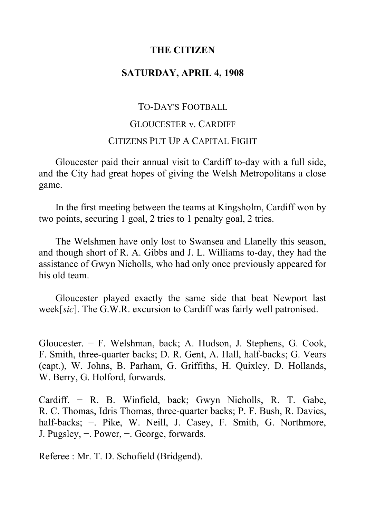# **THE CITIZEN**

## **SATURDAY, APRIL 4, 1908**

## TO-DAY'S FOOTBALL

#### GLOUCESTER v. CARDIFF

### CITIZENS PUT UP A CAPITAL FIGHT

Gloucester paid their annual visit to Cardiff to-day with a full side, and the City had great hopes of giving the Welsh Metropolitans a close game.

In the first meeting between the teams at Kingsholm, Cardiff won by two points, securing 1 goal, 2 tries to 1 penalty goal, 2 tries.

The Welshmen have only lost to Swansea and Llanelly this season, and though short of R. A. Gibbs and J. L. Williams to-day, they had the assistance of Gwyn Nicholls, who had only once previously appeared for his old team.

Gloucester played exactly the same side that beat Newport last week[*sic*]. The G.W.R. excursion to Cardiff was fairly well patronised.

Gloucester. − F. Welshman, back; A. Hudson, J. Stephens, G. Cook, F. Smith, three-quarter backs; D. R. Gent, A. Hall, half-backs; G. Vears (capt.), W. Johns, B. Parham, G. Griffiths, H. Quixley, D. Hollands, W. Berry, G. Holford, forwards.

Cardiff. − R. B. Winfield, back; Gwyn Nicholls, R. T. Gabe, R. C. Thomas, Idris Thomas, three-quarter backs; P. F. Bush, R. Davies, half-backs; −. Pike, W. Neill, J. Casey, F. Smith, G. Northmore, J. Pugsley, −. Power, −. George, forwards.

Referee : Mr. T. D. Schofield (Bridgend).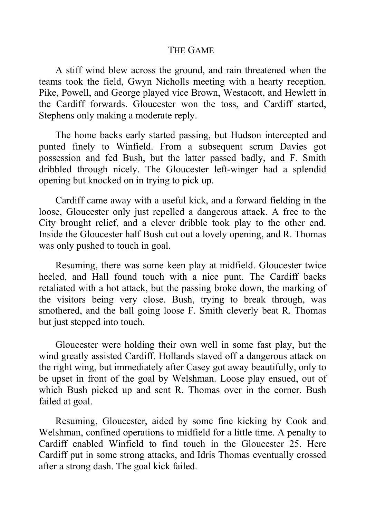### THE GAME

A stiff wind blew across the ground, and rain threatened when the teams took the field, Gwyn Nicholls meeting with a hearty reception. Pike, Powell, and George played vice Brown, Westacott, and Hewlett in the Cardiff forwards. Gloucester won the toss, and Cardiff started, Stephens only making a moderate reply.

The home backs early started passing, but Hudson intercepted and punted finely to Winfield. From a subsequent scrum Davies got possession and fed Bush, but the latter passed badly, and F. Smith dribbled through nicely. The Gloucester left-winger had a splendid opening but knocked on in trying to pick up.

Cardiff came away with a useful kick, and a forward fielding in the loose, Gloucester only just repelled a dangerous attack. A free to the City brought relief, and a clever dribble took play to the other end. Inside the Gloucester half Bush cut out a lovely opening, and R. Thomas was only pushed to touch in goal.

Resuming, there was some keen play at midfield. Gloucester twice heeled, and Hall found touch with a nice punt. The Cardiff backs retaliated with a hot attack, but the passing broke down, the marking of the visitors being very close. Bush, trying to break through, was smothered, and the ball going loose F. Smith cleverly beat R. Thomas but just stepped into touch.

Gloucester were holding their own well in some fast play, but the wind greatly assisted Cardiff. Hollands staved off a dangerous attack on the right wing, but immediately after Casey got away beautifully, only to be upset in front of the goal by Welshman. Loose play ensued, out of which Bush picked up and sent R. Thomas over in the corner. Bush failed at goal.

Resuming, Gloucester, aided by some fine kicking by Cook and Welshman, confined operations to midfield for a little time. A penalty to Cardiff enabled Winfield to find touch in the Gloucester 25. Here Cardiff put in some strong attacks, and Idris Thomas eventually crossed after a strong dash. The goal kick failed.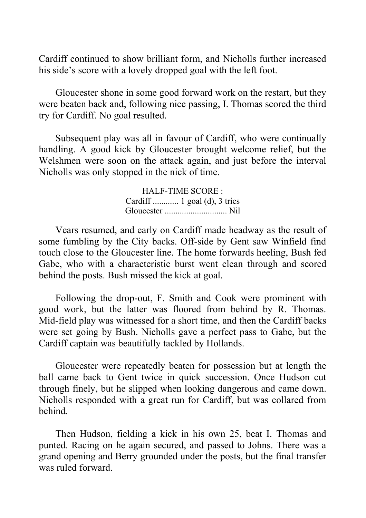Cardiff continued to show brilliant form, and Nicholls further increased his side's score with a lovely dropped goal with the left foot.

Gloucester shone in some good forward work on the restart, but they were beaten back and, following nice passing, I. Thomas scored the third try for Cardiff. No goal resulted.

Subsequent play was all in favour of Cardiff, who were continually handling. A good kick by Gloucester brought welcome relief, but the Welshmen were soon on the attack again, and just before the interval Nicholls was only stopped in the nick of time.

> HALF-TIME SCORE : Cardiff ............ 1 goal (d), 3 tries Gloucester ............................. Nil

Vears resumed, and early on Cardiff made headway as the result of some fumbling by the City backs. Off-side by Gent saw Winfield find touch close to the Gloucester line. The home forwards heeling, Bush fed Gabe, who with a characteristic burst went clean through and scored behind the posts. Bush missed the kick at goal.

Following the drop-out, F. Smith and Cook were prominent with good work, but the latter was floored from behind by R. Thomas. Mid-field play was witnessed for a short time, and then the Cardiff backs were set going by Bush. Nicholls gave a perfect pass to Gabe, but the Cardiff captain was beautifully tackled by Hollands.

Gloucester were repeatedly beaten for possession but at length the ball came back to Gent twice in quick succession. Once Hudson cut through finely, but he slipped when looking dangerous and came down. Nicholls responded with a great run for Cardiff, but was collared from behind.

Then Hudson, fielding a kick in his own 25, beat I. Thomas and punted. Racing on he again secured, and passed to Johns. There was a grand opening and Berry grounded under the posts, but the final transfer was ruled forward.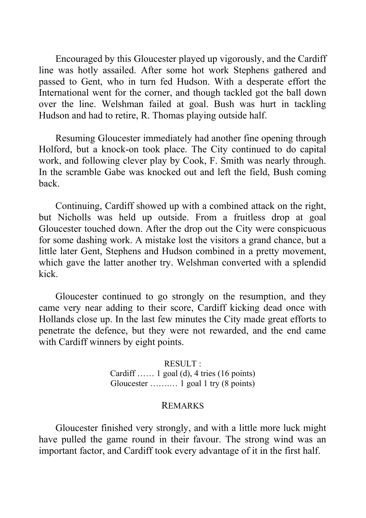Encouraged by this Gloucester played up vigorously, and the Cardiff line was hotly assailed. After some hot work Stephens gathered and passed to Gent, who in turn fed Hudson. With a desperate effort the International went for the corner, and though tackled got the ball down over the line. Welshman failed at goal. Bush was hurt in tackling Hudson and had to retire, R. Thomas playing outside half.

Resuming Gloucester immediately had another fine opening through Holford, but a knock-on took place. The City continued to do capital work, and following clever play by Cook, F. Smith was nearly through. In the scramble Gabe was knocked out and left the field, Bush coming back.

Continuing, Cardiff showed up with a combined attack on the right, but Nicholls was held up outside. From a fruitless drop at goal Gloucester touched down. After the drop out the City were conspicuous for some dashing work. A mistake lost the visitors a grand chance, but a little later Gent, Stephens and Hudson combined in a pretty movement, which gave the latter another try. Welshman converted with a splendid kick.

Gloucester continued to go strongly on the resumption, and they came very near adding to their score, Cardiff kicking dead once with Hollands close up. In the last few minutes the City made great efforts to penetrate the defence, but they were not rewarded, and the end came with Cardiff winners by eight points.

> RESULT : Cardiff …… 1 goal (d), 4 tries (16 points) Gloucester …….… 1 goal 1 try (8 points)

#### REMARKS

Gloucester finished very strongly, and with a little more luck might have pulled the game round in their favour. The strong wind was an important factor, and Cardiff took every advantage of it in the first half.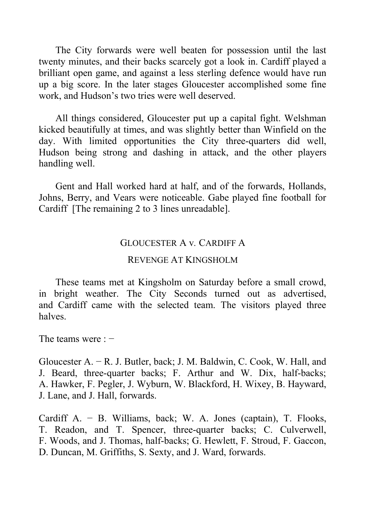The City forwards were well beaten for possession until the last twenty minutes, and their backs scarcely got a look in. Cardiff played a brilliant open game, and against a less sterling defence would have run up a big score. In the later stages Gloucester accomplished some fine work, and Hudson's two tries were well deserved.

All things considered, Gloucester put up a capital fight. Welshman kicked beautifully at times, and was slightly better than Winfield on the day. With limited opportunities the City three-quarters did well, Hudson being strong and dashing in attack, and the other players handling well.

Gent and Hall worked hard at half, and of the forwards, Hollands, Johns, Berry, and Vears were noticeable. Gabe played fine football for Cardiff [The remaining 2 to 3 lines unreadable].

#### GLOUCESTER A v*.* CARDIFF A

### REVENGE AT KINGSHOLM

These teams met at Kingsholm on Saturday before a small crowd, in bright weather. The City Seconds turned out as advertised, and Cardiff came with the selected team. The visitors played three halves.

The teams were : −

Gloucester A. − R. J. Butler, back; J. M. Baldwin, C. Cook, W. Hall, and J. Beard, three-quarter backs; F. Arthur and W. Dix, half-backs; A. Hawker, F. Pegler, J. Wyburn, W. Blackford, H. Wixey, B. Hayward, J. Lane, and J. Hall, forwards.

Cardiff A. − B. Williams, back; W. A. Jones (captain), T. Flooks, T. Readon, and T. Spencer, three-quarter backs; C. Culverwell, F. Woods, and J. Thomas, half-backs; G. Hewlett, F. Stroud, F. Gaccon, D. Duncan, M. Griffiths, S. Sexty, and J. Ward, forwards.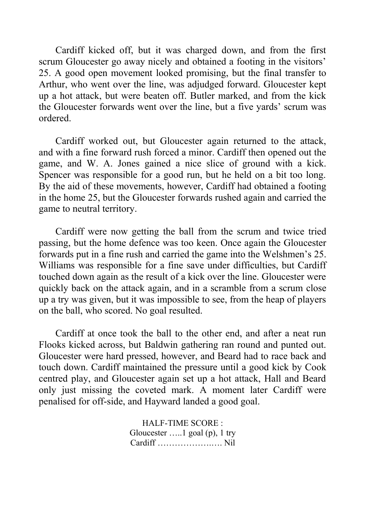Cardiff kicked off, but it was charged down, and from the first scrum Gloucester go away nicely and obtained a footing in the visitors' 25. A good open movement looked promising, but the final transfer to Arthur, who went over the line, was adjudged forward. Gloucester kept up a hot attack, but were beaten off. Butler marked, and from the kick the Gloucester forwards went over the line, but a five yards' scrum was ordered.

Cardiff worked out, but Gloucester again returned to the attack, and with a fine forward rush forced a minor. Cardiff then opened out the game, and W. A. Jones gained a nice slice of ground with a kick. Spencer was responsible for a good run, but he held on a bit too long. By the aid of these movements, however, Cardiff had obtained a footing in the home 25, but the Gloucester forwards rushed again and carried the game to neutral territory.

Cardiff were now getting the ball from the scrum and twice tried passing, but the home defence was too keen. Once again the Gloucester forwards put in a fine rush and carried the game into the Welshmen's 25. Williams was responsible for a fine save under difficulties, but Cardiff touched down again as the result of a kick over the line. Gloucester were quickly back on the attack again, and in a scramble from a scrum close up a try was given, but it was impossible to see, from the heap of players on the ball, who scored. No goal resulted.

Cardiff at once took the ball to the other end, and after a neat run Flooks kicked across, but Baldwin gathering ran round and punted out. Gloucester were hard pressed, however, and Beard had to race back and touch down. Cardiff maintained the pressure until a good kick by Cook centred play, and Gloucester again set up a hot attack, Hall and Beard only just missing the coveted mark. A moment later Cardiff were penalised for off-side, and Hayward landed a good goal.

> HALF-TIME SCORE : Gloucester …..1 goal (p), 1 try Cardiff ……………….…. Nil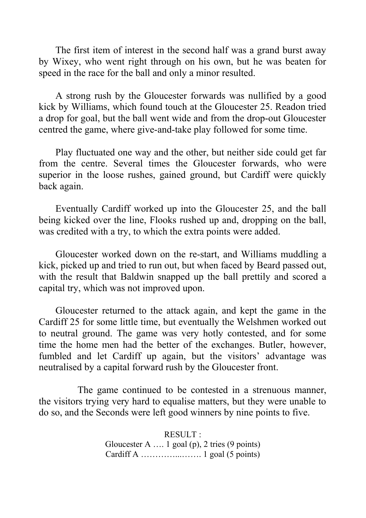The first item of interest in the second half was a grand burst away by Wixey, who went right through on his own, but he was beaten for speed in the race for the ball and only a minor resulted.

A strong rush by the Gloucester forwards was nullified by a good kick by Williams, which found touch at the Gloucester 25. Readon tried a drop for goal, but the ball went wide and from the drop-out Gloucester centred the game, where give-and-take play followed for some time.

Play fluctuated one way and the other, but neither side could get far from the centre. Several times the Gloucester forwards, who were superior in the loose rushes, gained ground, but Cardiff were quickly back again.

Eventually Cardiff worked up into the Gloucester 25, and the ball being kicked over the line, Flooks rushed up and, dropping on the ball, was credited with a try, to which the extra points were added.

Gloucester worked down on the re-start, and Williams muddling a kick, picked up and tried to run out, but when faced by Beard passed out, with the result that Baldwin snapped up the ball prettily and scored a capital try, which was not improved upon.

Gloucester returned to the attack again, and kept the game in the Cardiff 25 for some little time, but eventually the Welshmen worked out to neutral ground. The game was very hotly contested, and for some time the home men had the better of the exchanges. Butler, however, fumbled and let Cardiff up again, but the visitors' advantage was neutralised by a capital forward rush by the Gloucester front.

The game continued to be contested in a strenuous manner, the visitors trying very hard to equalise matters, but they were unable to do so, and the Seconds were left good winners by nine points to five.

> RESULT : Gloucester A …. 1 goal (p), 2 tries (9 points) Cardiff A …………...……. 1 goal (5 points)